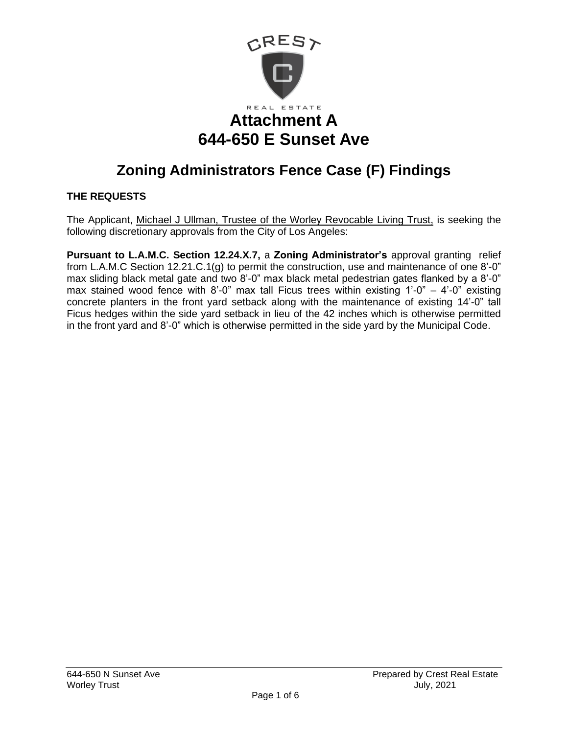

# **Zoning Administrators Fence Case (F) Findings**

## **THE REQUESTS**

The Applicant, Michael J Ullman, Trustee of the Worley Revocable Living Trust, is seeking the following discretionary approvals from the City of Los Angeles:

**Pursuant to L.A.M.C. Section 12.24.X.7,** a **Zoning Administrator's** approval granting relief from L.A.M.C Section 12.21.C.1(g) to permit the construction, use and maintenance of one 8'-0" max sliding black metal gate and two 8'-0" max black metal pedestrian gates flanked by a 8'-0" max stained wood fence with 8'-0" max tall Ficus trees within existing 1'-0" – 4'-0" existing concrete planters in the front yard setback along with the maintenance of existing 14'-0" tall Ficus hedges within the side yard setback in lieu of the 42 inches which is otherwise permitted in the front yard and 8'-0" which is otherwise permitted in the side yard by the Municipal Code.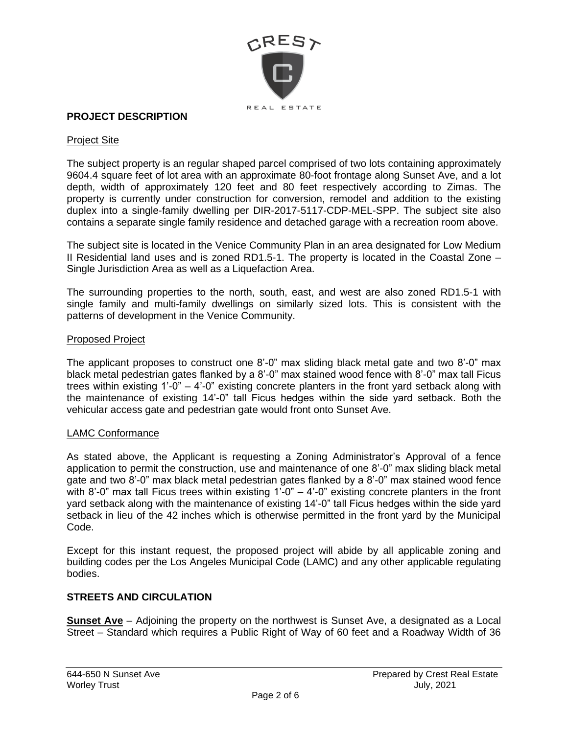

## **PROJECT DESCRIPTION**

#### Project Site

The subject property is an regular shaped parcel comprised of two lots containing approximately 9604.4 square feet of lot area with an approximate 80-foot frontage along Sunset Ave, and a lot depth, width of approximately 120 feet and 80 feet respectively according to Zimas. The property is currently under construction for conversion, remodel and addition to the existing duplex into a single-family dwelling per DIR-2017-5117-CDP-MEL-SPP. The subject site also contains a separate single family residence and detached garage with a recreation room above.

The subject site is located in the Venice Community Plan in an area designated for Low Medium II Residential land uses and is zoned RD1.5-1. The property is located in the Coastal Zone – Single Jurisdiction Area as well as a Liquefaction Area.

The surrounding properties to the north, south, east, and west are also zoned RD1.5-1 with single family and multi-family dwellings on similarly sized lots. This is consistent with the patterns of development in the Venice Community.

#### Proposed Project

The applicant proposes to construct one 8'-0" max sliding black metal gate and two 8'-0" max black metal pedestrian gates flanked by a 8'-0" max stained wood fence with 8'-0" max tall Ficus trees within existing  $1'-0'' - 4'-0''$  existing concrete planters in the front yard setback along with the maintenance of existing 14'-0" tall Ficus hedges within the side yard setback. Both the vehicular access gate and pedestrian gate would front onto Sunset Ave.

#### LAMC Conformance

As stated above, the Applicant is requesting a Zoning Administrator's Approval of a fence application to permit the construction, use and maintenance of one 8'-0" max sliding black metal gate and two 8'-0" max black metal pedestrian gates flanked by a 8'-0" max stained wood fence with 8'-0" max tall Ficus trees within existing  $1'-0'' - 4'-0''$  existing concrete planters in the front yard setback along with the maintenance of existing 14'-0" tall Ficus hedges within the side yard setback in lieu of the 42 inches which is otherwise permitted in the front yard by the Municipal Code.

Except for this instant request, the proposed project will abide by all applicable zoning and building codes per the Los Angeles Municipal Code (LAMC) and any other applicable regulating bodies.

## **STREETS AND CIRCULATION**

**Sunset Ave** – Adjoining the property on the northwest is Sunset Ave, a designated as a Local Street – Standard which requires a Public Right of Way of 60 feet and a Roadway Width of 36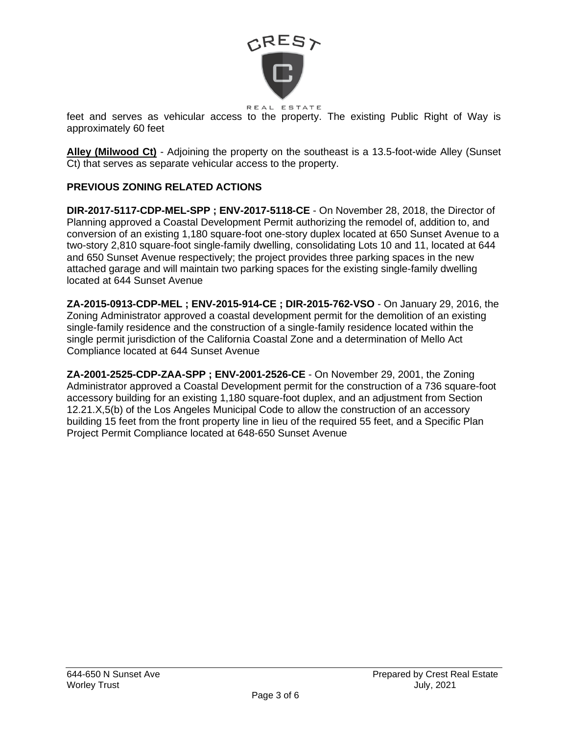

#### REAL ESTATE

feet and serves as vehicular access to the property. The existing Public Right of Way is approximately 60 feet

**Alley (Milwood Ct)** - Adjoining the property on the southeast is a 13.5-foot-wide Alley (Sunset Ct) that serves as separate vehicular access to the property.

## **PREVIOUS ZONING RELATED ACTIONS**

**DIR-2017-5117-CDP-MEL-SPP ; ENV-2017-5118-CE** - On November 28, 2018, the Director of Planning approved a Coastal Development Permit authorizing the remodel of, addition to, and conversion of an existing 1,180 square-foot one-story duplex located at 650 Sunset Avenue to a two-story 2,810 square-foot single-family dwelling, consolidating Lots 10 and 11, located at 644 and 650 Sunset Avenue respectively; the project provides three parking spaces in the new attached garage and will maintain two parking spaces for the existing single-family dwelling located at 644 Sunset Avenue

**ZA-2015-0913-CDP-MEL ; ENV-2015-914-CE ; DIR-2015-762-VSO** - On January 29, 2016, the Zoning Administrator approved a coastal development permit for the demolition of an existing single-family residence and the construction of a single-family residence located within the single permit jurisdiction of the California Coastal Zone and a determination of Mello Act Compliance located at 644 Sunset Avenue

**ZA-2001-2525-CDP-ZAA-SPP ; ENV-2001-2526-CE** - On November 29, 2001, the Zoning Administrator approved a Coastal Development permit for the construction of a 736 square-foot accessory building for an existing 1,180 square-foot duplex, and an adjustment from Section 12.21.X,5(b) of the Los Angeles Municipal Code to allow the construction of an accessory building 15 feet from the front property line in lieu of the required 55 feet, and a Specific Plan Project Permit Compliance located at 648-650 Sunset Avenue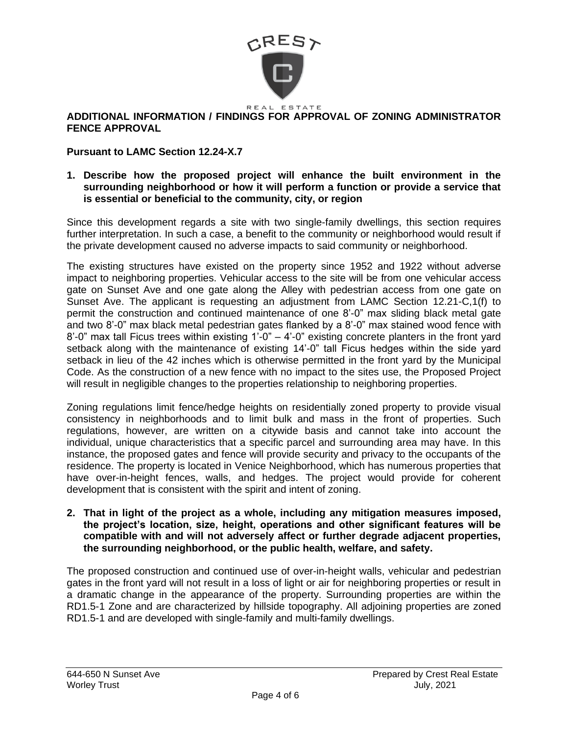

REAL ESTATE **ADDITIONAL INFORMATION / FINDINGS FOR APPROVAL OF ZONING ADMINISTRATOR FENCE APPROVAL**

## **Pursuant to LAMC Section 12.24-X.7**

#### **1. Describe how the proposed project will enhance the built environment in the surrounding neighborhood or how it will perform a function or provide a service that is essential or beneficial to the community, city, or region**

Since this development regards a site with two single-family dwellings, this section requires further interpretation. In such a case, a benefit to the community or neighborhood would result if the private development caused no adverse impacts to said community or neighborhood.

The existing structures have existed on the property since 1952 and 1922 without adverse impact to neighboring properties. Vehicular access to the site will be from one vehicular access gate on Sunset Ave and one gate along the Alley with pedestrian access from one gate on Sunset Ave. The applicant is requesting an adjustment from LAMC Section 12.21-C,1(f) to permit the construction and continued maintenance of one 8'-0" max sliding black metal gate and two 8'-0" max black metal pedestrian gates flanked by a 8'-0" max stained wood fence with 8'-0" max tall Ficus trees within existing  $1'-0'' - 4'-0''$  existing concrete planters in the front yard setback along with the maintenance of existing 14'-0" tall Ficus hedges within the side yard setback in lieu of the 42 inches which is otherwise permitted in the front yard by the Municipal Code. As the construction of a new fence with no impact to the sites use, the Proposed Project will result in negligible changes to the properties relationship to neighboring properties.

Zoning regulations limit fence/hedge heights on residentially zoned property to provide visual consistency in neighborhoods and to limit bulk and mass in the front of properties. Such regulations, however, are written on a citywide basis and cannot take into account the individual, unique characteristics that a specific parcel and surrounding area may have. In this instance, the proposed gates and fence will provide security and privacy to the occupants of the residence. The property is located in Venice Neighborhood, which has numerous properties that have over-in-height fences, walls, and hedges. The project would provide for coherent development that is consistent with the spirit and intent of zoning.

**2. That in light of the project as a whole, including any mitigation measures imposed, the project's location, size, height, operations and other significant features will be compatible with and will not adversely affect or further degrade adjacent properties, the surrounding neighborhood, or the public health, welfare, and safety.**

The proposed construction and continued use of over-in-height walls, vehicular and pedestrian gates in the front yard will not result in a loss of light or air for neighboring properties or result in a dramatic change in the appearance of the property. Surrounding properties are within the RD1.5-1 Zone and are characterized by hillside topography. All adjoining properties are zoned RD1.5-1 and are developed with single-family and multi-family dwellings.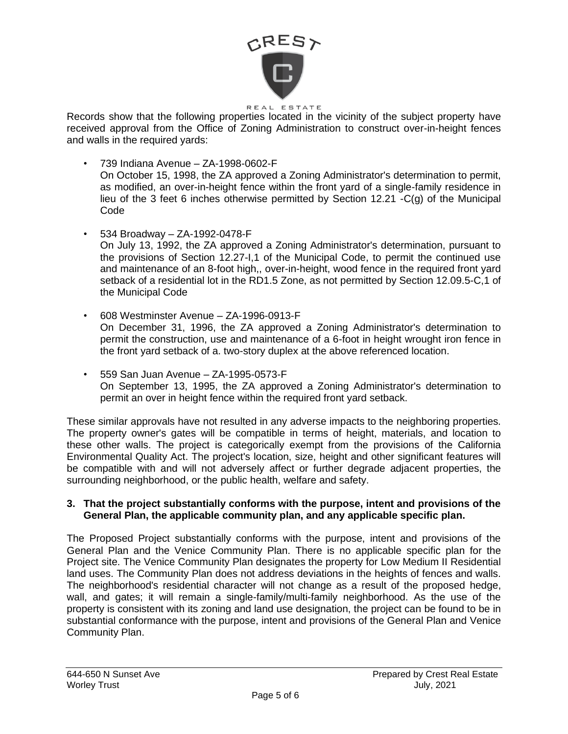

#### REAL ESTATE

Records show that the following properties located in the vicinity of the subject property have received approval from the Office of Zoning Administration to construct over-in-height fences and walls in the required yards:

- 739 Indiana Avenue ZA-1998-0602-F On October 15, 1998, the ZA approved a Zoning Administrator's determination to permit, as modified, an over-in-height fence within the front yard of a single-family residence in lieu of the 3 feet 6 inches otherwise permitted by Section 12.21 -C(g) of the Municipal Code
- 534 Broadway ZA-1992-0478-F On July 13, 1992, the ZA approved a Zoning Administrator's determination, pursuant to the provisions of Section 12.27-I,1 of the Municipal Code, to permit the continued use and maintenance of an 8-foot high,, over-in-height, wood fence in the required front yard setback of a residential lot in the RD1.5 Zone, as not permitted by Section 12.09.5-C,1 of the Municipal Code
- 608 Westminster Avenue ZA-1996-0913-F On December 31, 1996, the ZA approved a Zoning Administrator's determination to permit the construction, use and maintenance of a 6-foot in height wrought iron fence in the front yard setback of a. two-story duplex at the above referenced location.
- 559 San Juan Avenue ZA-1995-0573-F On September 13, 1995, the ZA approved a Zoning Administrator's determination to permit an over in height fence within the required front yard setback.

These similar approvals have not resulted in any adverse impacts to the neighboring properties. The property owner's gates will be compatible in terms of height, materials, and location to these other walls. The project is categorically exempt from the provisions of the California Environmental Quality Act. The project's location, size, height and other significant features will be compatible with and will not adversely affect or further degrade adjacent properties, the surrounding neighborhood, or the public health, welfare and safety.

#### **3. That the project substantially conforms with the purpose, intent and provisions of the General Plan, the applicable community plan, and any applicable specific plan.**

The Proposed Project substantially conforms with the purpose, intent and provisions of the General Plan and the Venice Community Plan. There is no applicable specific plan for the Project site. The Venice Community Plan designates the property for Low Medium II Residential land uses. The Community Plan does not address deviations in the heights of fences and walls. The neighborhood's residential character will not change as a result of the proposed hedge, wall, and gates; it will remain a single-family/multi-family neighborhood. As the use of the property is consistent with its zoning and land use designation, the project can be found to be in substantial conformance with the purpose, intent and provisions of the General Plan and Venice Community Plan.